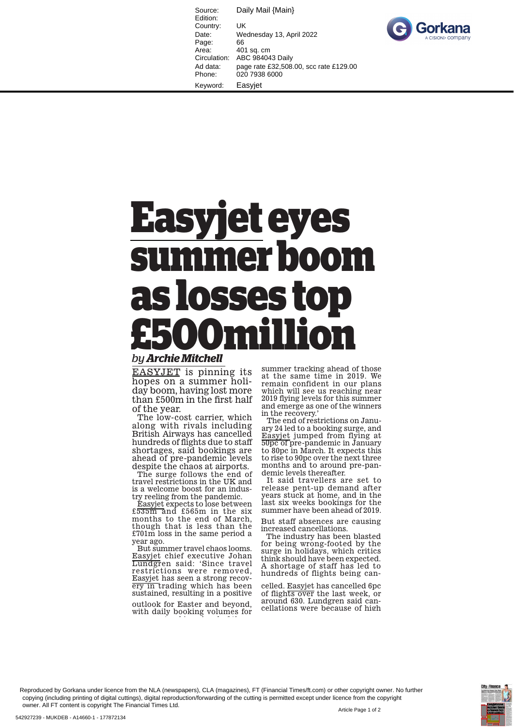Source: Daily Mail {Main} Edition: Country: UK Date: Wednesday 13, April 2022 Page: 66<br>Area: 40 401 sq. cm Circulation: ABC 984043 Daily Ad data: page rate £32,508.00, scc rate £129.00 Phone: 020 7938 6000 Keyword: Easyjet



## **Easyjet eyes summer boom as losses top £500million**

## *by Archie Mitchell*

EASYJET is pinning its hopes on a summer holiday boom, having lost more than £500m in the first half of the year.

The low-cost carrier, which along with rivals including British Airways has cancelled hundreds of flights due to staff shortages, said bookings are ahead of pre-pandemic levels despite the chaos at airports.

The surge follows the end of travel restrictions in the UK and is a welcome boost for an industry reeling from the pandemic.

Easyjet expects to lose between £535m and £565m in the six months to the end of March, though that is less than the £701m loss in the same period a year ago.

But summer travel chaos looms. Easyjet chief executive Johan Lundgren said: 'Since travel restrictions were removed, Easyjet has seen a strong recovery in trading which has been sustained, resulting in a positive

outlook for Easter and beyond, with daily booking volumes for

t ki h d f tha f tha f

summer tracking ahead of those at the same time in 2019. We remain confident in our plans which will see us reaching near 2019 flying levels for this summer and emerge as one of the winners in the recovery.

The end of restrictions on January 24 led to a booking surge, and Easyjet jumped from flying at 50pc of pre-pandemic in January to 80pc in March. It expects this to rise to 90pc over the next three months and to around pre-pandemic levels thereafter.

It said travellers are set to release pent-up demand after years stuck at home, and in the last six weeks bookings for the summer have been ahead of 2019.

But staff absences are causing increased cancellations.

The industry has been blasted for being wrong-footed by the surge in holidays, which critics think should have been expected. A shortage of staff has led to hundreds of flights being can-

celled. Easyjet has cancelled 6pc of flights over the last week, or around 630. Lundgren said cancellations were because of high

Reproduced by Gorkana under licence from the NLA (newspapers), CLA (magazines), FT (Financial Times/ft.com) or other copyright owner. No further copying (including printing of digital cuttings), digital reproduction/forwarding of the cutting is permitted except under licence from the copyright owner. All FT content is copyright The Financial Times Ltd.